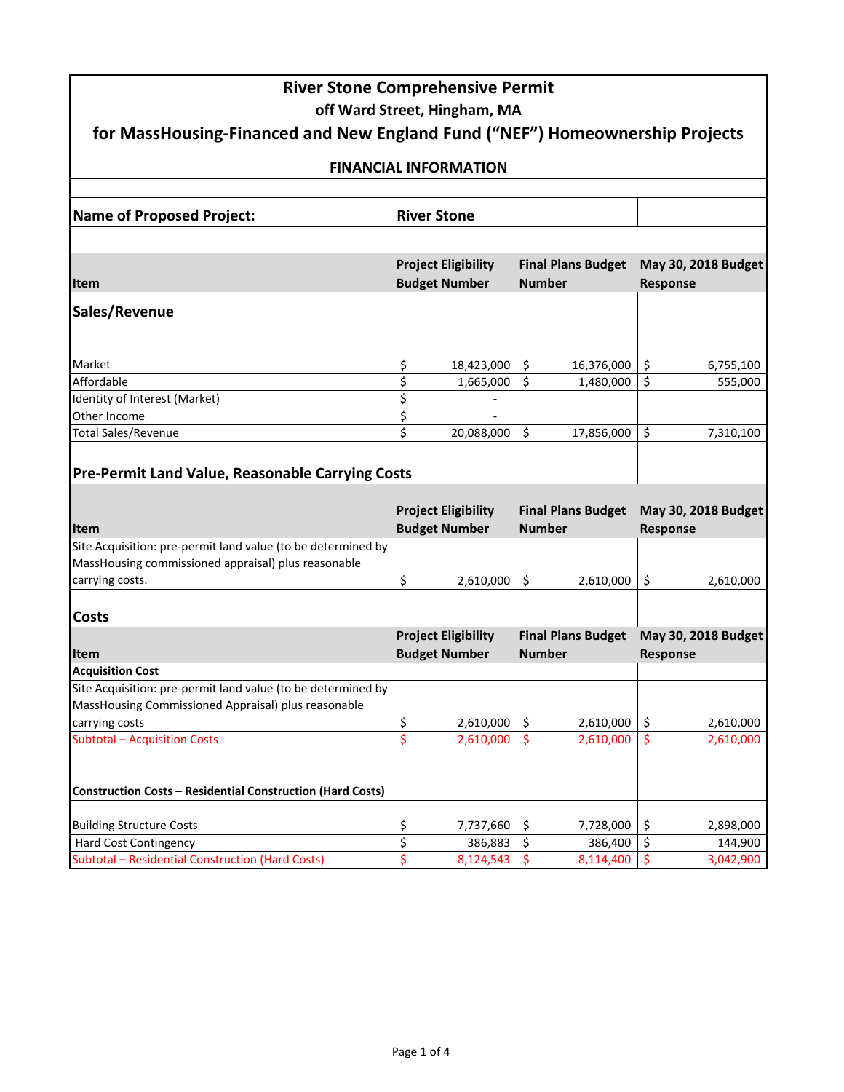|                                                                                                                     | <b>River Stone Comprehensive Permit</b><br>off Ward Street, Hingham, MA |                                            |                                        |  |  |
|---------------------------------------------------------------------------------------------------------------------|-------------------------------------------------------------------------|--------------------------------------------|----------------------------------------|--|--|
| for MassHousing-Financed and New England Fund ("NEF") Homeownership Projects                                        |                                                                         |                                            |                                        |  |  |
|                                                                                                                     | <b>FINANCIAL INFORMATION</b>                                            |                                            |                                        |  |  |
| <b>Name of Proposed Project:</b>                                                                                    | <b>River Stone</b>                                                      |                                            |                                        |  |  |
|                                                                                                                     |                                                                         |                                            |                                        |  |  |
| <b>Item</b>                                                                                                         | <b>Project Eligibility</b><br><b>Budget Number</b>                      | <b>Final Plans Budget</b><br><b>Number</b> | May 30, 2018 Budget<br><b>Response</b> |  |  |
| Sales/Revenue                                                                                                       |                                                                         |                                            |                                        |  |  |
| Market                                                                                                              | \$<br>18,423,000                                                        | \$.<br>16,376,000                          | \$<br>6,755,100                        |  |  |
| Affordable                                                                                                          | \$<br>1,665,000                                                         | \$<br>1,480,000                            | \$<br>555,000                          |  |  |
| Identity of Interest (Market)                                                                                       | \$                                                                      |                                            |                                        |  |  |
| Other Income                                                                                                        | \$                                                                      |                                            |                                        |  |  |
| <b>Total Sales/Revenue</b>                                                                                          | \$<br>20,088,000                                                        | $\zeta$<br>17,856,000                      | \$<br>7,310,100                        |  |  |
| <b>Pre-Permit Land Value, Reasonable Carrying Costs</b>                                                             |                                                                         |                                            |                                        |  |  |
|                                                                                                                     | <b>Project Eligibility</b>                                              | <b>Final Plans Budget</b>                  | May 30, 2018 Budget                    |  |  |
| <b>Item</b>                                                                                                         | <b>Budget Number</b>                                                    | <b>Number</b>                              | Response                               |  |  |
| Site Acquisition: pre-permit land value (to be determined by<br>MassHousing commissioned appraisal) plus reasonable |                                                                         |                                            |                                        |  |  |
| carrying costs.                                                                                                     | \$<br>2,610,000                                                         | \$<br>2,610,000                            | \$<br>2,610,000                        |  |  |
| <b>Costs</b>                                                                                                        |                                                                         |                                            |                                        |  |  |
|                                                                                                                     | <b>Project Eligibility</b>                                              | <b>Final Plans Budget</b>                  | May 30, 2018 Budget                    |  |  |
| Item                                                                                                                | <b>Budget Number</b>                                                    | <b>Number</b>                              | <b>Response</b>                        |  |  |
| <b>Acquisition Cost</b>                                                                                             |                                                                         |                                            |                                        |  |  |
| Site Acquisition: pre-permit land value (to be determined by                                                        |                                                                         |                                            |                                        |  |  |
| MassHousing Commissioned Appraisal) plus reasonable<br>carrying costs                                               | 2,610,000                                                               | \$<br>2,610,000                            | 2,610,000                              |  |  |
| <b>Subtotal - Acquisition Costs</b>                                                                                 | \$<br>$\overline{\boldsymbol{\varsigma}}$<br>2,610,000                  | $\zeta$<br>2,610,000                       | \$<br>\$<br>2,610,000                  |  |  |
| <b>Construction Costs - Residential Construction (Hard Costs)</b>                                                   |                                                                         |                                            |                                        |  |  |
| <b>Building Structure Costs</b>                                                                                     |                                                                         | \$<br>7,728,000                            | 2,898,000                              |  |  |
| <b>Hard Cost Contingency</b>                                                                                        | \$<br>7,737,660<br>$\overline{\xi}$<br>386,883                          | $\zeta$<br>386,400                         | \$<br>\$<br>144,900                    |  |  |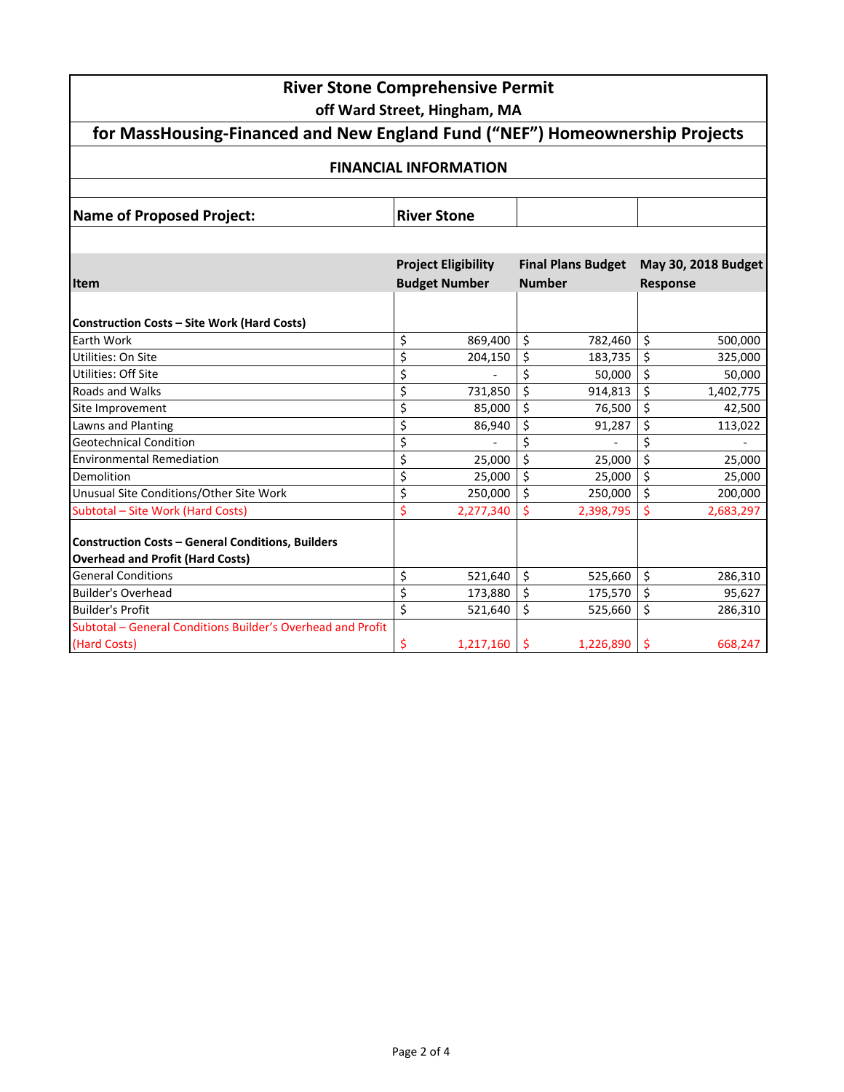| <b>River Stone Comprehensive Permit</b>                                                             |                                                    |           |                                            |           |                                        |           |  |
|-----------------------------------------------------------------------------------------------------|----------------------------------------------------|-----------|--------------------------------------------|-----------|----------------------------------------|-----------|--|
| off Ward Street, Hingham, MA                                                                        |                                                    |           |                                            |           |                                        |           |  |
| for MassHousing-Financed and New England Fund ("NEF") Homeownership Projects                        |                                                    |           |                                            |           |                                        |           |  |
| <b>FINANCIAL INFORMATION</b>                                                                        |                                                    |           |                                            |           |                                        |           |  |
| <b>Name of Proposed Project:</b>                                                                    | <b>River Stone</b>                                 |           |                                            |           |                                        |           |  |
|                                                                                                     |                                                    |           |                                            |           |                                        |           |  |
| <b>Item</b>                                                                                         | <b>Project Eligibility</b><br><b>Budget Number</b> |           | <b>Final Plans Budget</b><br><b>Number</b> |           | May 30, 2018 Budget<br><b>Response</b> |           |  |
|                                                                                                     |                                                    |           |                                            |           |                                        |           |  |
| <b>Construction Costs - Site Work (Hard Costs)</b>                                                  |                                                    |           |                                            |           |                                        |           |  |
| <b>Earth Work</b>                                                                                   | \$                                                 | 869,400   | \$                                         | 782,460   | $\zeta$                                | 500,000   |  |
| Utilities: On Site                                                                                  | \$                                                 | 204,150   | \$                                         | 183,735   | \$                                     | 325,000   |  |
| Utilities: Off Site                                                                                 | \$                                                 |           | \$                                         | 50,000    | \$                                     | 50,000    |  |
| Roads and Walks                                                                                     | $\overline{\xi}$                                   | 731,850   | \$                                         | 914,813   | \$                                     | 1,402,775 |  |
| Site Improvement                                                                                    | \$                                                 | 85,000    | \$                                         | 76,500    | \$                                     | 42,500    |  |
| Lawns and Planting                                                                                  | \$                                                 | 86,940    | \$                                         | 91,287    | \$                                     | 113,022   |  |
| <b>Geotechnical Condition</b>                                                                       | \$                                                 |           | \$                                         |           | \$                                     |           |  |
| <b>Environmental Remediation</b>                                                                    | \$                                                 | 25,000    | \$                                         | 25,000    | \$                                     | 25,000    |  |
| Demolition                                                                                          | \$                                                 | 25,000    | \$                                         | 25,000    | \$                                     | 25,000    |  |
| Unusual Site Conditions/Other Site Work                                                             | \$                                                 | 250,000   | \$                                         | 250,000   | \$                                     | 200,000   |  |
| Subtotal - Site Work (Hard Costs)                                                                   | \$                                                 | 2,277,340 |                                            | 2,398,795 | \$                                     | 2,683,297 |  |
| <b>Construction Costs - General Conditions, Builders</b><br><b>Overhead and Profit (Hard Costs)</b> |                                                    |           |                                            |           |                                        |           |  |
| <b>General Conditions</b>                                                                           | \$                                                 | 521,640   | \$                                         | 525,660   | \$                                     | 286,310   |  |
| <b>Builder's Overhead</b>                                                                           | \$                                                 | 173,880   | \$                                         | 175,570   | \$                                     | 95,627    |  |
| <b>Builder's Profit</b>                                                                             | $\overline{\xi}$                                   | 521,640   | \$                                         | 525,660   | \$                                     | 286,310   |  |
| Subtotal - General Conditions Builder's Overhead and Profit                                         |                                                    |           |                                            |           |                                        |           |  |
| (Hard Costs)                                                                                        | \$                                                 | 1,217,160 | \$                                         | 1,226,890 | \$                                     | 668,247   |  |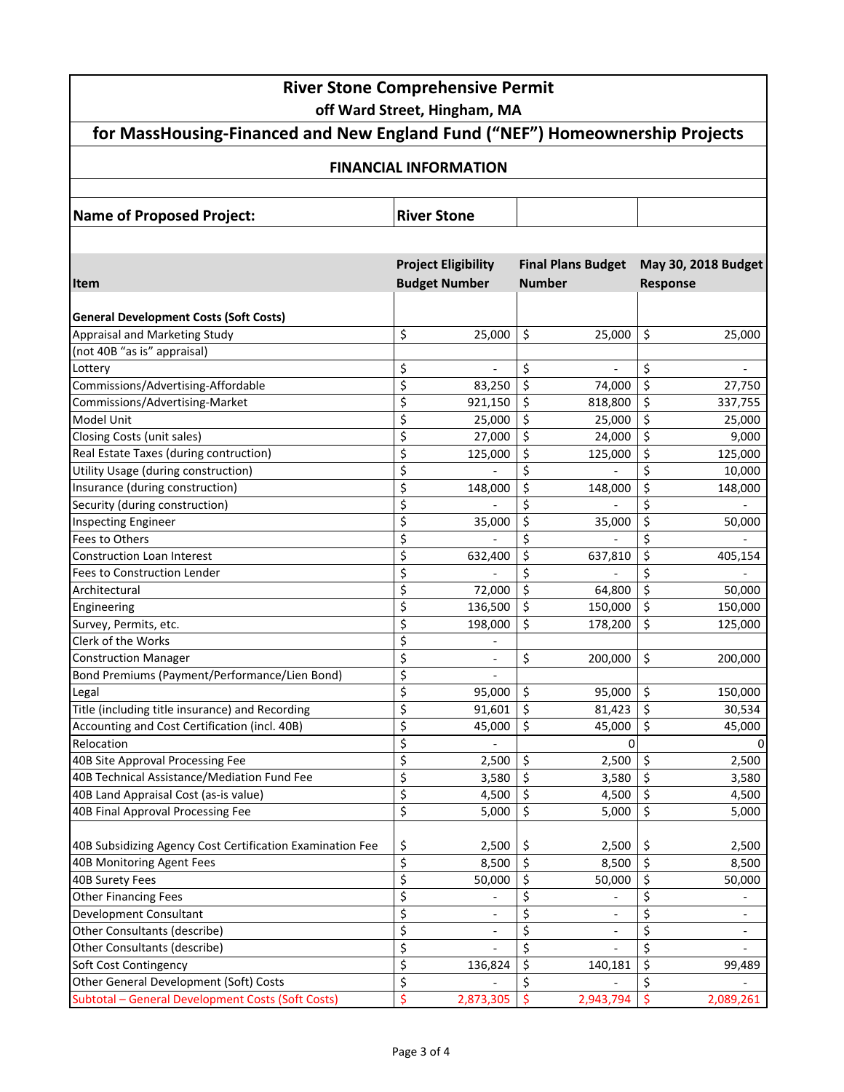| <b>River Stone Comprehensive Permit</b><br>off Ward Street, Hingham, MA      |                    |                            |               |                           |         |                              |  |  |
|------------------------------------------------------------------------------|--------------------|----------------------------|---------------|---------------------------|---------|------------------------------|--|--|
| for MassHousing-Financed and New England Fund ("NEF") Homeownership Projects |                    |                            |               |                           |         |                              |  |  |
| <b>FINANCIAL INFORMATION</b>                                                 |                    |                            |               |                           |         |                              |  |  |
|                                                                              |                    |                            |               |                           |         |                              |  |  |
| <b>Name of Proposed Project:</b>                                             | <b>River Stone</b> |                            |               |                           |         |                              |  |  |
|                                                                              |                    |                            |               |                           |         |                              |  |  |
|                                                                              |                    | <b>Project Eligibility</b> |               | <b>Final Plans Budget</b> |         | May 30, 2018 Budget          |  |  |
| <b>Item</b>                                                                  |                    | <b>Budget Number</b>       | <b>Number</b> |                           |         | <b>Response</b>              |  |  |
|                                                                              |                    |                            |               |                           |         |                              |  |  |
| <b>General Development Costs (Soft Costs)</b>                                |                    |                            |               |                           |         |                              |  |  |
| Appraisal and Marketing Study                                                | \$                 | 25,000                     | \$            | 25,000                    | $\zeta$ | 25,000                       |  |  |
| (not 40B "as is" appraisal)                                                  |                    |                            |               |                           |         |                              |  |  |
| Lottery                                                                      | \$                 |                            | \$            |                           | \$      |                              |  |  |
| Commissions/Advertising-Affordable                                           | \$                 | 83,250                     | \$            | 74,000                    | \$      | 27,750                       |  |  |
| Commissions/Advertising-Market                                               | \$                 | 921,150                    | \$            | 818,800                   | \$      | 337,755                      |  |  |
| Model Unit                                                                   | \$                 | 25,000                     | \$            | 25,000                    | \$      | 25,000                       |  |  |
| Closing Costs (unit sales)                                                   | \$                 | 27,000                     | \$            | 24,000                    | \$      | 9,000                        |  |  |
| Real Estate Taxes (during contruction)                                       | \$                 | 125,000                    | \$            | 125,000                   | \$      | 125,000                      |  |  |
| Utility Usage (during construction)                                          | \$                 |                            | \$            |                           | \$      | 10,000                       |  |  |
| Insurance (during construction)                                              | \$                 | 148,000                    | \$            | 148,000                   | \$      | 148,000                      |  |  |
| Security (during construction)                                               | \$                 |                            | \$            |                           | \$      |                              |  |  |
| Inspecting Engineer                                                          | \$                 | 35,000                     | \$            | 35,000                    | \$      | 50,000                       |  |  |
| Fees to Others                                                               | \$                 |                            | \$            |                           | \$      |                              |  |  |
| <b>Construction Loan Interest</b>                                            | \$                 | 632,400                    | \$            | 637,810                   | \$      | 405,154                      |  |  |
| <b>Fees to Construction Lender</b>                                           | \$                 |                            | \$            |                           | \$      |                              |  |  |
| Architectural                                                                | \$                 | 72,000                     | $\zeta$       | 64,800                    | \$      | 50,000                       |  |  |
| Engineering                                                                  | \$                 | 136,500                    | \$            | 150,000                   | \$      | 150,000                      |  |  |
| Survey, Permits, etc.                                                        | \$                 | 198,000                    | \$            | 178,200                   | \$      | 125,000                      |  |  |
| Clerk of the Works                                                           | \$                 |                            |               |                           |         |                              |  |  |
| <b>Construction Manager</b>                                                  | \$                 | $\overline{a}$             | \$            | 200,000                   | \$      | 200,000                      |  |  |
| Bond Premiums (Payment/Performance/Lien Bond)                                | \$                 | $\overline{\phantom{a}}$   |               |                           |         |                              |  |  |
| Legal                                                                        | \$                 | 95,000                     | \$            | 95,000                    | \$      | 150,000                      |  |  |
| Title (including title insurance) and Recording                              | \$                 | 91,601                     | Ŝ.            | 81,423                    | Ś.      | 30,534                       |  |  |
| Accounting and Cost Certification (incl. 40B)                                | \$                 | 45,000                     | \$            | 45,000                    | \$      | 45,000                       |  |  |
| Relocation                                                                   | \$                 |                            |               | 0                         |         | 0                            |  |  |
| 40B Site Approval Processing Fee                                             | \$                 | 2,500                      | \$            | 2,500                     | \$      | 2,500                        |  |  |
| 40B Technical Assistance/Mediation Fund Fee                                  | \$                 | 3,580                      | \$            | 3,580                     | \$      | 3,580                        |  |  |
| 40B Land Appraisal Cost (as-is value)                                        | \$                 | 4,500                      | \$            | 4,500                     | \$      | 4,500                        |  |  |
| 40B Final Approval Processing Fee                                            | \$                 | 5,000                      | \$            | 5,000                     | \$      | 5,000                        |  |  |
| 40B Subsidizing Agency Cost Certification Examination Fee                    | \$                 | 2,500                      | \$            | 2,500                     | \$      | 2,500                        |  |  |
| 40B Monitoring Agent Fees                                                    | $\overline{\xi}$   | 8,500                      | $\zeta$       | 8,500                     | \$      | 8,500                        |  |  |
| 40B Surety Fees                                                              | \$                 | 50,000                     | \$            | 50,000                    | \$      | 50,000                       |  |  |
| <b>Other Financing Fees</b>                                                  | \$                 |                            | \$            |                           | \$      |                              |  |  |
| <b>Development Consultant</b>                                                | \$                 |                            | \$            |                           | \$      | $\qquad \qquad \blacksquare$ |  |  |
| Other Consultants (describe)                                                 | \$                 |                            | \$            |                           | \$      |                              |  |  |
| Other Consultants (describe)                                                 | \$                 |                            | \$            |                           | \$      |                              |  |  |
| Soft Cost Contingency                                                        | \$                 | 136,824                    | \$            | 140,181                   | \$      | 99,489                       |  |  |
| Other General Development (Soft) Costs                                       | \$                 |                            | Ś.            |                           | \$      |                              |  |  |
| Subtotal - General Development Costs (Soft Costs)                            | \$                 | 2,873,305                  | Ŝ             | 2,943,794                 | \$      | 2,089,261                    |  |  |